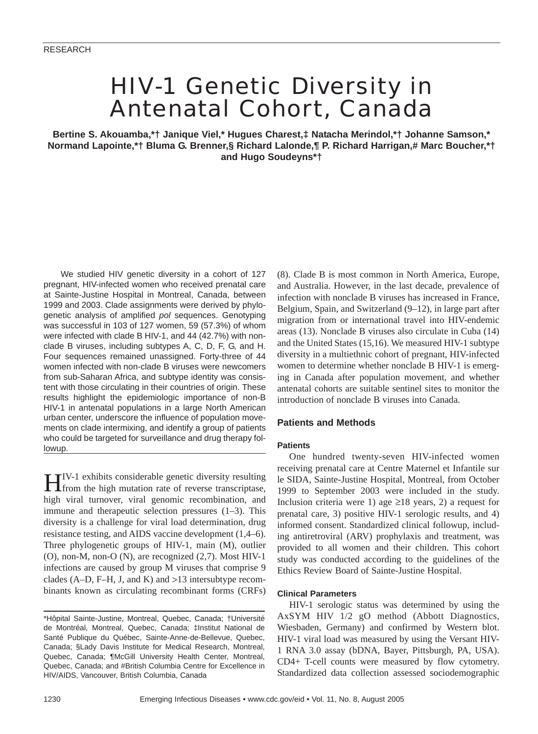# HIV-1 Genetic Diversity in Antenatal Cohort, Canada

**Bertine S. Akouamba,\*† Janique Viel,\* Hugues Charest,‡ Natacha Merindol,\*† Johanne Samson,\* Normand Lapointe,\*† Bluma G. Brenner,§ Richard Lalonde,¶ P. Richard Harrigan,# Marc Boucher,\*† and Hugo Soudeyns\*†**

We studied HIV genetic diversity in a cohort of 127 pregnant, HIV-infected women who received prenatal care at Sainte-Justine Hospital in Montreal, Canada, between 1999 and 2003. Clade assignments were derived by phylogenetic analysis of amplified *pol* sequences. Genotyping was successful in 103 of 127 women, 59 (57.3%) of whom were infected with clade B HIV-1, and 44 (42.7%) with nonclade B viruses, including subtypes A, C, D, F, G, and H. Four sequences remained unassigned. Forty-three of 44 women infected with non-clade B viruses were newcomers from sub-Saharan Africa, and subtype identity was consistent with those circulating in their countries of origin. These results highlight the epidemiologic importance of non-B HIV-1 in antenatal populations in a large North American urban center, underscore the influence of population movements on clade intermixing, and identify a group of patients who could be targeted for surveillance and drug therapy followup.

HIV-1 exhibits considerable genetic diversity resulting from the high mutation rate of reverse transcriptase, high viral turnover, viral genomic recombination, and immune and therapeutic selection pressures (1–3). This diversity is a challenge for viral load determination, drug resistance testing, and AIDS vaccine development (1,4–6). Three phylogenetic groups of HIV-1, main (M), outlier (O), non-M, non-O (N), are recognized (2,7). Most HIV-1 infections are caused by group M viruses that comprise 9 clades (A–D, F–H, J, and K) and  $>13$  intersubtype recombinants known as circulating recombinant forms (CRFs) (8). Clade B is most common in North America, Europe, and Australia. However, in the last decade, prevalence of infection with nonclade B viruses has increased in France, Belgium, Spain, and Switzerland (9–12), in large part after migration from or international travel into HIV-endemic areas (13). Nonclade B viruses also circulate in Cuba (14) and the United States (15,16). We measured HIV-1 subtype diversity in a multiethnic cohort of pregnant, HIV-infected women to determine whether nonclade B HIV-1 is emerging in Canada after population movement, and whether antenatal cohorts are suitable sentinel sites to monitor the introduction of nonclade B viruses into Canada.

# **Patients and Methods**

## **Patients**

One hundred twenty-seven HIV-infected women receiving prenatal care at Centre Maternel et Infantile sur le SIDA, Sainte-Justine Hospital, Montreal, from October 1999 to September 2003 were included in the study. Inclusion criteria were 1) age  $\geq$ 18 years, 2) a request for prenatal care, 3) positive HIV-1 serologic results, and 4) informed consent. Standardized clinical followup, including antiretroviral (ARV) prophylaxis and treatment, was provided to all women and their children. This cohort study was conducted according to the guidelines of the Ethics Review Board of Sainte-Justine Hospital.

## **Clinical Parameters**

HIV-1 serologic status was determined by using the AxSYM HIV 1/2 gO method (Abbott Diagnostics, Wiesbaden, Germany) and confirmed by Western blot. HIV-1 viral load was measured by using the Versant HIV-1 RNA 3.0 assay (bDNA, Bayer, Pittsburgh, PA, USA). CD4+ T-cell counts were measured by flow cytometry. Standardized data collection assessed sociodemographic

<sup>\*</sup>Hôpital Sainte-Justine, Montreal, Quebec, Canada; †Université de Montréal, Montreal, Quebec, Canada; ‡Institut National de Santé Publique du Québec, Sainte-Anne-de-Bellevue, Quebec, Canada; §Lady Davis Institute for Medical Research, Montreal, Quebec, Canada; ¶McGill University Health Center, Montreal, Quebec, Canada; and #British Columbia Centre for Excellence in HIV/AIDS, Vancouver, British Columbia, Canada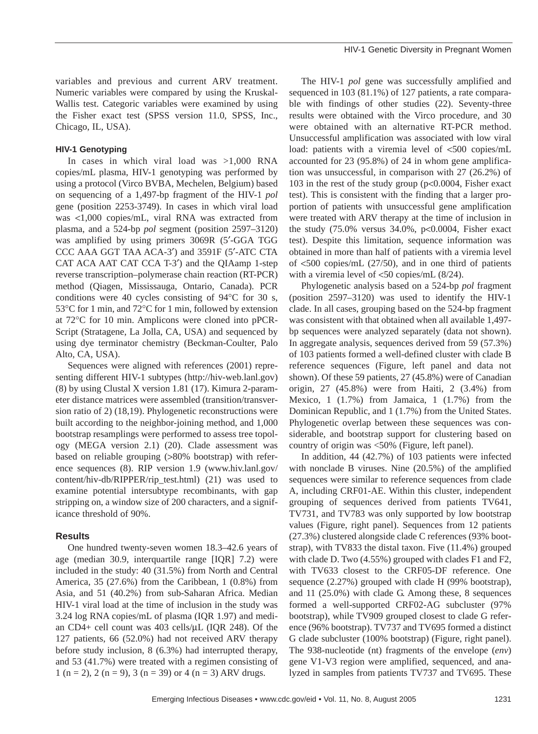variables and previous and current ARV treatment. Numeric variables were compared by using the Kruskal-Wallis test. Categoric variables were examined by using the Fisher exact test (SPSS version 11.0, SPSS, Inc., Chicago, IL, USA).

## **HIV-1 Genotyping**

In cases in which viral load was >1,000 RNA copies/mL plasma, HIV-1 genotyping was performed by using a protocol (Virco BVBA, Mechelen, Belgium) based on sequencing of a 1,497-bp fragment of the HIV-1 *pol* gene (position 2253-3749). In cases in which viral load was <1,000 copies/mL, viral RNA was extracted from plasma, and a 524-bp *pol* segment (position 2597–3120) was amplified by using primers 3069R (5′-GGA TGG CCC AAA GGT TAA ACA-3′) and 3591F (5′-ATC CTA CAT ACA AAT CAT CCA T-3′) and the QIAamp 1-step reverse transcription–polymerase chain reaction (RT-PCR) method (Qiagen, Mississauga, Ontario, Canada). PCR conditions were 40 cycles consisting of 94°C for 30 s, 53°C for 1 min, and 72°C for 1 min, followed by extension at 72°C for 10 min. Amplicons were cloned into pPCR-Script (Stratagene, La Jolla, CA, USA) and sequenced by using dye terminator chemistry (Beckman-Coulter, Palo Alto, CA, USA).

Sequences were aligned with references (2001) representing different HIV-1 subtypes (http://hiv-web.lanl.gov) (8) by using Clustal X version 1.81 (17). Kimura 2-parameter distance matrices were assembled (transition/transversion ratio of 2) (18,19). Phylogenetic reconstructions were built according to the neighbor-joining method, and 1,000 bootstrap resamplings were performed to assess tree topology (MEGA version 2.1) (20). Clade assessment was based on reliable grouping (>80% bootstrap) with reference sequences (8). RIP version 1.9 (www.hiv.lanl.gov/ content/hiv-db/RIPPER/rip\_test.html) (21) was used to examine potential intersubtype recombinants, with gap stripping on, a window size of 200 characters, and a significance threshold of 90%.

## **Results**

One hundred twenty-seven women 18.3–42.6 years of age (median 30.9, interquartile range [IQR] 7.2) were included in the study: 40 (31.5%) from North and Central America, 35 (27.6%) from the Caribbean, 1 (0.8%) from Asia, and 51 (40.2%) from sub-Saharan Africa. Median HIV-1 viral load at the time of inclusion in the study was 3.24 log RNA copies/mL of plasma (IQR 1.97) and median CD4+ cell count was 403 cells/µL (IQR 248). Of the 127 patients, 66 (52.0%) had not received ARV therapy before study inclusion, 8 (6.3%) had interrupted therapy, and 53 (41.7%) were treated with a regimen consisting of 1 (n = 2), 2 (n = 9), 3 (n = 39) or 4 (n = 3) ARV drugs.

The HIV-1 *pol* gene was successfully amplified and sequenced in 103 (81.1%) of 127 patients, a rate comparable with findings of other studies (22). Seventy-three results were obtained with the Virco procedure, and 30 were obtained with an alternative RT-PCR method. Unsuccessful amplification was associated with low viral load: patients with a viremia level of <500 copies/mL accounted for 23 (95.8%) of 24 in whom gene amplification was unsuccessful, in comparison with 27 (26.2%) of 103 in the rest of the study group (p<0.0004, Fisher exact test). This is consistent with the finding that a larger proportion of patients with unsuccessful gene amplification were treated with ARV therapy at the time of inclusion in the study (75.0% versus 34.0%, p<0.0004, Fisher exact test). Despite this limitation, sequence information was obtained in more than half of patients with a viremia level of <500 copies/mL (27/50), and in one third of patients with a viremia level of <50 copies/mL (8/24).

Phylogenetic analysis based on a 524-bp *pol* fragment (position 2597–3120) was used to identify the HIV-1 clade. In all cases, grouping based on the 524-bp fragment was consistent with that obtained when all available 1,497 bp sequences were analyzed separately (data not shown). In aggregate analysis, sequences derived from 59 (57.3%) of 103 patients formed a well-defined cluster with clade B reference sequences (Figure, left panel and data not shown). Of these 59 patients, 27 (45.8%) were of Canadian origin,  $27$   $(45.8\%)$  were from Haiti,  $2$   $(3.4\%)$  from Mexico, 1 (1.7%) from Jamaica, 1 (1.7%) from the Dominican Republic, and 1 (1.7%) from the United States. Phylogenetic overlap between these sequences was considerable, and bootstrap support for clustering based on country of origin was <50% (Figure, left panel).

In addition, 44 (42.7%) of 103 patients were infected with nonclade B viruses. Nine (20.5%) of the amplified sequences were similar to reference sequences from clade A, including CRF01-AE. Within this cluster, independent grouping of sequences derived from patients TV641, TV731, and TV783 was only supported by low bootstrap values (Figure, right panel). Sequences from 12 patients (27.3%) clustered alongside clade C references (93% bootstrap), with TV833 the distal taxon. Five (11.4%) grouped with clade D. Two (4.55%) grouped with clades F1 and F2, with TV633 closest to the CRF05-DF reference. One sequence (2.27%) grouped with clade H (99% bootstrap), and 11 (25.0%) with clade G. Among these, 8 sequences formed a well-supported CRF02-AG subcluster (97% bootstrap), while TV909 grouped closest to clade G reference (96% bootstrap). TV737 and TV695 formed a distinct G clade subcluster (100% bootstrap) (Figure, right panel). The 938-nucleotide (nt) fragments of the envelope (*env*) gene V1-V3 region were amplified, sequenced, and analyzed in samples from patients TV737 and TV695. These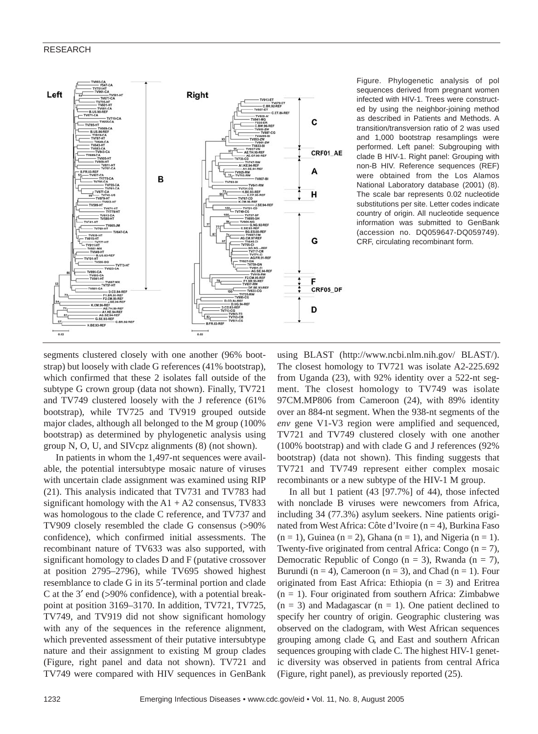#### RESEARCH



Figure. Phylogenetic analysis of pol sequences derived from pregnant women infected with HIV-1. Trees were constructed by using the neighbor-joining method as described in Patients and Methods. A transition/transversion ratio of 2 was used and 1,000 bootstrap resamplings were performed. Left panel: Subgrouping with clade B HIV-1. Right panel: Grouping with non-B HIV. Reference sequences (REF) were obtained from the Los Alamos National Laboratory database (2001) (8). The scale bar represents 0.02 nucleotide substitutions per site. Letter codes indicate country of origin. All nucleotide sequence information was submitted to GenBank (accession no. DQ059647-DQ059749). CRF, circulating recombinant form.

segments clustered closely with one another (96% bootstrap) but loosely with clade G references (41% bootstrap), which confirmed that these 2 isolates fall outside of the subtype G crown group (data not shown). Finally, TV721 and TV749 clustered loosely with the J reference (61% bootstrap), while TV725 and TV919 grouped outside major clades, although all belonged to the M group (100% bootstrap) as determined by phylogenetic analysis using group N, O, U, and SIVcpz alignments (8) (not shown).

In patients in whom the 1,497-nt sequences were available, the potential intersubtype mosaic nature of viruses with uncertain clade assignment was examined using RIP (21). This analysis indicated that TV731 and TV783 had significant homology with the  $A1 + A2$  consensus, TV833 was homologous to the clade C reference, and TV737 and TV909 closely resembled the clade G consensus (>90% confidence), which confirmed initial assessments. The recombinant nature of TV633 was also supported, with significant homology to clades D and F (putative crossover at position 2795–2796), while TV695 showed highest resemblance to clade G in its 5′-terminal portion and clade C at the 3′ end (>90% confidence), with a potential breakpoint at position 3169–3170. In addition, TV721, TV725, TV749, and TV919 did not show significant homology with any of the sequences in the reference alignment, which prevented assessment of their putative intersubtype nature and their assignment to existing M group clades (Figure, right panel and data not shown). TV721 and TV749 were compared with HIV sequences in GenBank

using BLAST (http://www.ncbi.nlm.nih.gov/ BLAST/). The closest homology to TV721 was isolate A2-225.692 from Uganda (23), with 92% identity over a 522-nt segment. The closest homology to TV749 was isolate 97CM.MP806 from Cameroon (24), with 89% identity over an 884-nt segment. When the 938-nt segments of the *env* gene V1-V3 region were amplified and sequenced, TV721 and TV749 clustered closely with one another (100% bootstrap) and with clade G and J references (92% bootstrap) (data not shown). This finding suggests that TV721 and TV749 represent either complex mosaic recombinants or a new subtype of the HIV-1 M group.

In all but 1 patient (43 [97.7%] of 44), those infected with nonclade B viruses were newcomers from Africa, including 34 (77.3%) asylum seekers. Nine patients originated from West Africa: Côte d'Ivoire (n = 4), Burkina Faso  $(n = 1)$ , Guinea  $(n = 2)$ , Ghana  $(n = 1)$ , and Nigeria  $(n = 1)$ . Twenty-five originated from central Africa: Congo  $(n = 7)$ , Democratic Republic of Congo ( $n = 3$ ), Rwanda ( $n = 7$ ), Burundi (n = 4), Cameroon (n = 3), and Chad (n = 1). Four originated from East Africa: Ethiopia  $(n = 3)$  and Eritrea  $(n = 1)$ . Four originated from southern Africa: Zimbabwe  $(n = 3)$  and Madagascar  $(n = 1)$ . One patient declined to specify her country of origin. Geographic clustering was observed on the cladogram, with West African sequences grouping among clade G, and East and southern African sequences grouping with clade C. The highest HIV-1 genetic diversity was observed in patients from central Africa (Figure, right panel), as previously reported (25).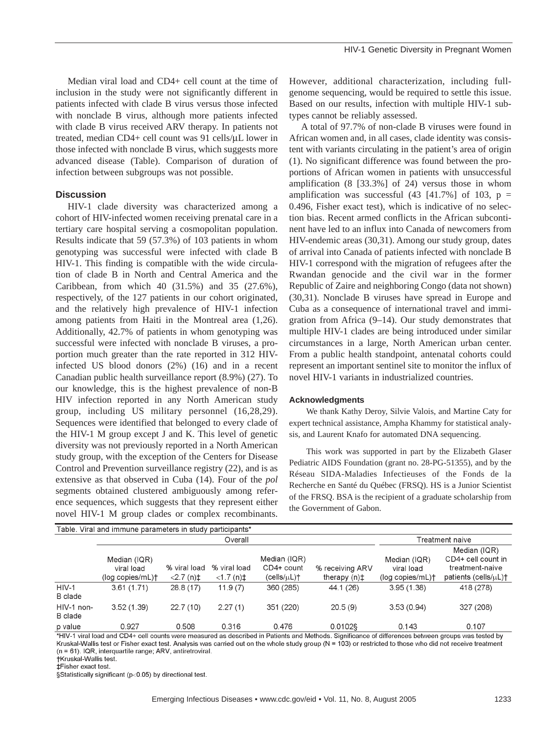Median viral load and CD4+ cell count at the time of inclusion in the study were not significantly different in patients infected with clade B virus versus those infected with nonclade B virus, although more patients infected with clade B virus received ARV therapy. In patients not treated, median CD4+ cell count was 91 cells/µL lower in those infected with nonclade B virus, which suggests more advanced disease (Table). Comparison of duration of infection between subgroups was not possible.

## **Discussion**

HIV-1 clade diversity was characterized among a cohort of HIV-infected women receiving prenatal care in a tertiary care hospital serving a cosmopolitan population. Results indicate that 59 (57.3%) of 103 patients in whom genotyping was successful were infected with clade B HIV-1. This finding is compatible with the wide circulation of clade B in North and Central America and the Caribbean, from which 40 (31.5%) and 35 (27.6%), respectively, of the 127 patients in our cohort originated, and the relatively high prevalence of HIV-1 infection among patients from Haiti in the Montreal area (1,26). Additionally, 42.7% of patients in whom genotyping was successful were infected with nonclade B viruses, a proportion much greater than the rate reported in 312 HIVinfected US blood donors (2%) (16) and in a recent Canadian public health surveillance report (8.9%) (27). To our knowledge, this is the highest prevalence of non-B HIV infection reported in any North American study group, including US military personnel (16,28,29). Sequences were identified that belonged to every clade of the HIV-1 M group except J and K. This level of genetic diversity was not previously reported in a North American study group, with the exception of the Centers for Disease Control and Prevention surveillance registry (22), and is as extensive as that observed in Cuba (14). Four of the *pol* segments obtained clustered ambiguously among reference sequences, which suggests that they represent either novel HIV-1 M group clades or complex recombinants.

However, additional characterization, including fullgenome sequencing, would be required to settle this issue. Based on our results, infection with multiple HIV-1 subtypes cannot be reliably assessed.

A total of 97.7% of non-clade B viruses were found in African women and, in all cases, clade identity was consistent with variants circulating in the patient's area of origin (1). No significant difference was found between the proportions of African women in patients with unsuccessful amplification (8 [33.3%] of 24) versus those in whom amplification was successful  $(43 \t[41.7\%]$  of 103, p = 0.496, Fisher exact test), which is indicative of no selection bias. Recent armed conflicts in the African subcontinent have led to an influx into Canada of newcomers from HIV-endemic areas (30,31). Among our study group, dates of arrival into Canada of patients infected with nonclade B HIV-1 correspond with the migration of refugees after the Rwandan genocide and the civil war in the former Republic of Zaire and neighboring Congo (data not shown) (30,31). Nonclade B viruses have spread in Europe and Cuba as a consequence of international travel and immigration from Africa (9–14). Our study demonstrates that multiple HIV-1 clades are being introduced under similar circumstances in a large, North American urban center. From a public health standpoint, antenatal cohorts could represent an important sentinel site to monitor the influx of novel HIV-1 variants in industrialized countries.

#### **Acknowledgments**

We thank Kathy Deroy, Silvie Valois, and Martine Caty for expert technical assistance, Ampha Khammy for statistical analysis, and Laurent Knafo for automated DNA sequencing.

This work was supported in part by the Elizabeth Glaser Pediatric AIDS Foundation (grant no. 28-PG-51355), and by the Réseau SIDA-Maladies Infectieuses of the Fonds de la Recherche en Santé du Québec (FRSQ). HS is a Junior Scientist of the FRSQ. BSA is the recipient of a graduate scholarship from the Government of Gabon.

| Table. Viral and immune parameters in study participants* |                                                |                                   |                                        |                                              |                                    |                                                |                                                                               |
|-----------------------------------------------------------|------------------------------------------------|-----------------------------------|----------------------------------------|----------------------------------------------|------------------------------------|------------------------------------------------|-------------------------------------------------------------------------------|
|                                                           | Overall                                        |                                   |                                        |                                              |                                    | Treatment naive                                |                                                                               |
|                                                           | Median (IQR)<br>viral load<br>(log copies/mL)+ | % viral load<br>$<$ 2.7 (n) $\pm$ | % viral load<br>$<$ 1.7 (n) $\ddagger$ | Median (IQR)<br>CD4+ count<br>$(cells/µL)$ † | % receiving ARV<br>therapy $(n)$ ‡ | Median (IQR)<br>viral load<br>(log copies/mL)+ | Median (IQR)<br>CD4+ cell count in<br>treatment-naive<br>patients (cells/uL)+ |
| $HIV-1$<br>B clade                                        | 3.61(1.71)                                     | 28.8(17)                          | 11.9(7)                                | 360 (285)                                    | 44.1 (26)                          | 3.95(1.38)                                     | 418 (278)                                                                     |
| HIV-1 non-<br>B clade                                     | 3.52(1.39)                                     | 22.7(10)                          | 2.27(1)                                | 351 (220)                                    | 20.5(9)                            | 3.53(0.94)                                     | 327 (208)                                                                     |
| p value                                                   | 0.927                                          | 0.508                             | 0.316                                  | 0.476                                        | 0.0102§                            | 0.143                                          | 0.107                                                                         |

\*HIV-1 viral load and CD4+ cell counts were measured as described in Patients and Methods. Significance of differences between groups was tested by Kruskal-Wallis test or Fisher exact test. Analysis was carried out on the whole study group (N = 103) or restricted to those who did not receive treatment (n = 61). IQR, interquartile range; ARV, antiretroviral.

**†Kruskal-Wallis test.** 

**‡Fisher exact test.** 

§Statistically significant (p<0.05) by directional test.